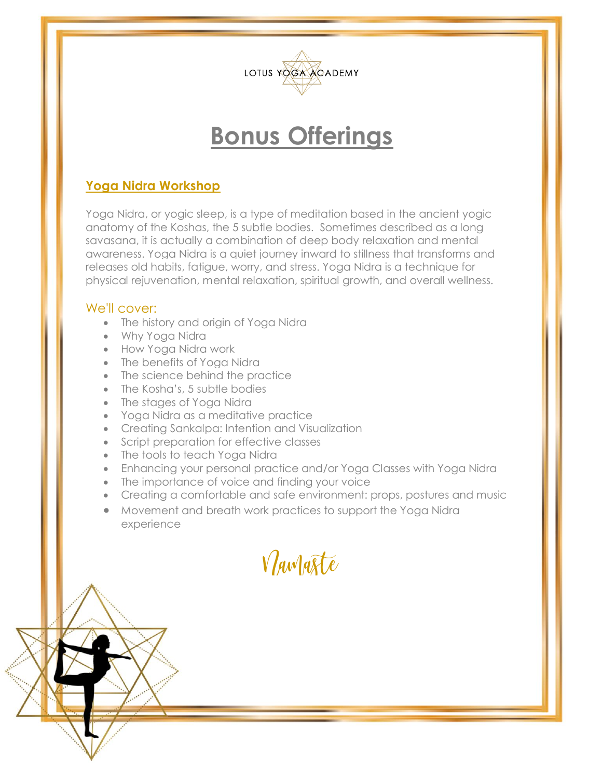

### **Yoga Nidra Workshop**

Yoga Nidra, or yogic sleep, is a type of meditation based in the ancient yogic anatomy of the Koshas, the 5 subtle bodies. Sometimes described as a long savasana, it is actually a combination of deep body relaxation and mental awareness. Yoga Nidra is a quiet journey inward to stillness that transforms and releases old habits, fatigue, worry, and stress. Yoga Nidra is a technique for physical rejuvenation, mental relaxation, spiritual growth, and overall wellness.

#### We'll cover:

- The history and origin of Yoga Nidra
- Why Yoga Nidra
- How Yoga Nidra work
- The benefits of Yoga Nidra
- The science behind the practice
- The Kosha's, 5 subtle bodies
- The stages of Yoga Nidra
- Yoga Nidra as a meditative practice
- Creating Sankalpa: Intention and Visualization
- Script preparation for effective classes
- The tools to teach Yoga Nidra
- Enhancing your personal practice and/or Yoga Classes with Yoga Nidra
- The importance of voice and finding your voice
- Creating a comfortable and safe environment: props, postures and music
- Movement and breath work practices to support the Yoga Nidra experience

Namaste

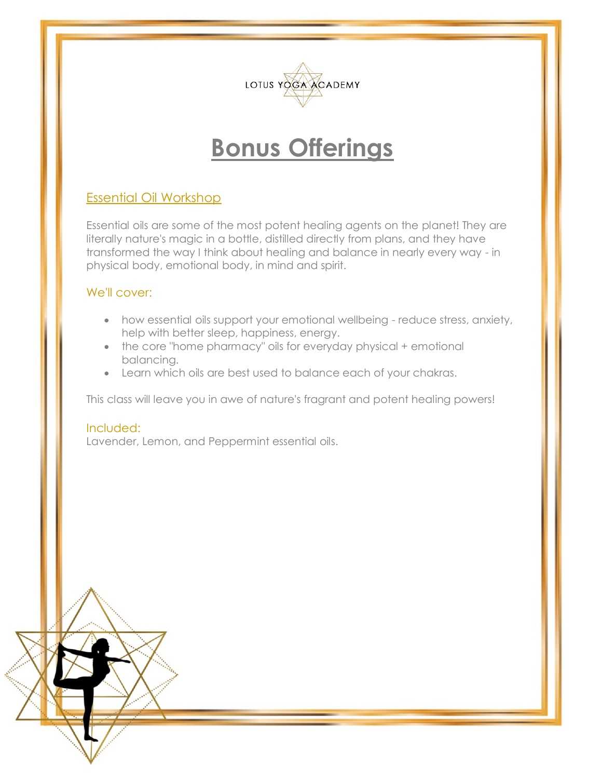

### Essential Oil Workshop

Essential oils are some of the most potent healing agents on the planet! They are literally nature's magic in a bottle, distilled directly from plans, and they have transformed the way I think about healing and balance in nearly every way - in physical body, emotional body, in mind and spirit.

#### We'll cover:

- how essential oils support your emotional wellbeing reduce stress, anxiety, help with better sleep, happiness, energy.
- the core "home pharmacy" oils for everyday physical + emotional balancing.
- Learn which oils are best used to balance each of your chakras.

This class will leave you in awe of nature's fragrant and potent healing powers!

### Included: Lavender, Lemon, and Peppermint essential oils.

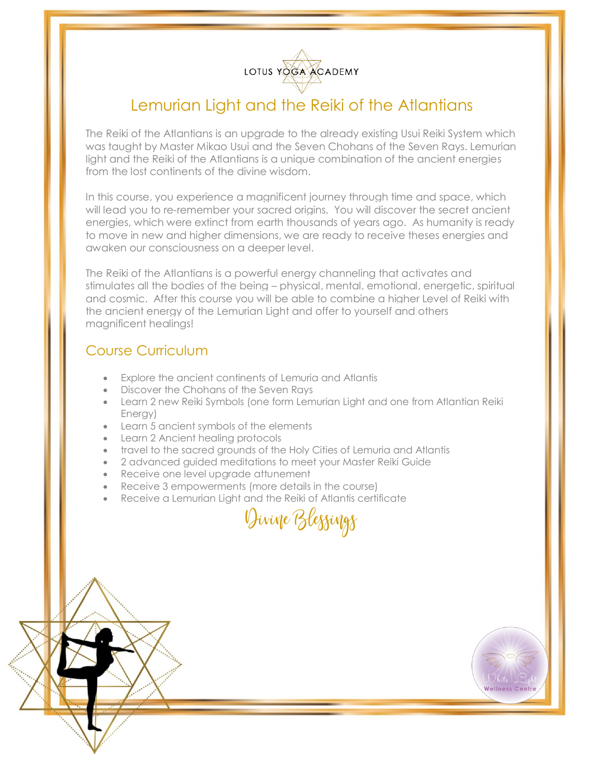

### Lemurian Light and the Reiki of the Atlantians

The Reiki of the Atlantians is an upgrade to the already existing Usui Reiki System which was taught by Master Mikao Usui and the Seven Chohans of the Seven Rays. Lemurian light and the Reiki of the Atlantians is a unique combination of the ancient energies from the lost continents of the divine wisdom.

In this course, you experience a magnificent journey through time and space, which will lead you to re-remember your sacred origins. You will discover the secret ancient energies, which were extinct from earth thousands of years ago. As humanity is ready to move in new and higher dimensions, we are ready to receive theses energies and awaken our consciousness on a deeper level.

The Reiki of the Atlantians is a powerful energy channeling that activates and stimulates all the bodies of the being – physical, mental, emotional, energetic, spiritual and cosmic. After this course you will be able to combine a higher Level of Reiki with the ancient energy of the Lemurian Light and offer to yourself and others magnificent healings!

### Course Curriculum

- Explore the ancient continents of Lemuria and Atlantis
- Discover the Chohans of the Seven Rays
- Learn 2 new Reiki Symbols (one form Lemurian Light and one from Atlantian Reiki Energy)
- Learn 5 ancient symbols of the elements
- Learn 2 Ancient healing protocols
- travel to the sacred grounds of the Holy Cities of Lemuria and Atlantis
- 2 advanced guided meditations to meet your Master Reiki Guide
- Receive one level upgrade attunement
- Receive 3 empowerments (more details in the course)
- Receive a Lemurian Light and the Reiki of Atlantis certificate

Divine Blessings



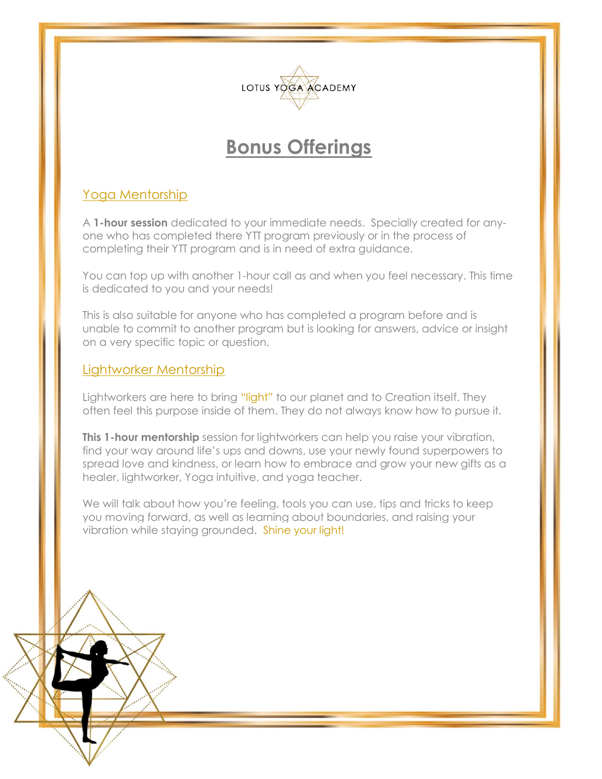

### Yoga Mentorship

A **1-hour session** dedicated to your immediate needs. Specially created for anyone who has completed there YTT program previously or in the process of completing their YTT program and is in need of extra guidance.

You can top up with another 1-hour call as and when you feel necessary. This time is dedicated to you and your needs!

This is also suitable for anyone who has completed a program before and is unable to commit to another program but is looking for answers, advice or insight on a very specific topic or question.

### Lightworker Mentorship

[Lightworkers](https://putthelighthere.com/about/lightworkers/) are here to bring "light" to our planet and to Creation itself. They often feel this purpose inside of them. They do not always know how to pursue it.

**This 1-hour mentorship** session for lightworkers can help you raise your vibration, find your way around life's ups and downs, use your newly found superpowers to spread love and kindness, or learn how to embrace and grow your new gifts as a healer, lightworker, Yoga intuitive, and yoga teacher.

We will talk about how you're feeling, tools you can use, tips and tricks to keep you moving forward, as well as learning about boundaries, and raising your vibration while staying grounded. Shine your light!

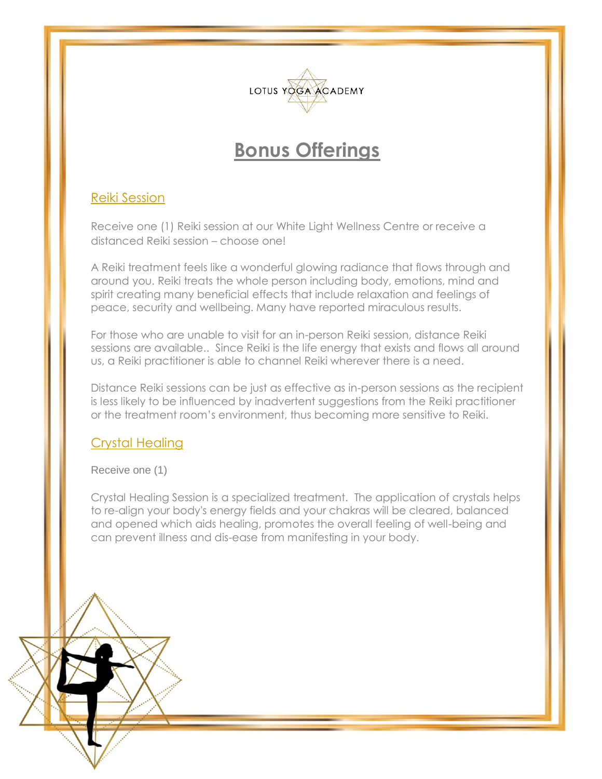

### Reiki Session

Receive one (1) Reiki session at our White Light Wellness Centre or receive a distanced Reiki session – choose one!

A Reiki treatment feels like a wonderful glowing radiance that flows through and around you. Reiki treats the whole person including body, emotions, mind and spirit creating many beneficial effects that include relaxation and feelings of peace, security and wellbeing. Many have reported miraculous results.

For those who are unable to visit for an in-person Reiki session, distance Reiki sessions are available.. Since Reiki is the life energy that exists and flows all around us, a Reiki practitioner is able to channel Reiki wherever there is a need.

Distance Reiki sessions can be just as effective as in-person sessions as the recipient is less likely to be influenced by inadvertent suggestions from the Reiki practitioner or the treatment room's environment, thus becoming more sensitive to Reiki.

#### Crystal Healing

Receive one (1)

Crystal Healing Session is a specialized treatment. The application of crystals helps to re-align your body's energy fields and your chakras will be cleared, balanced and opened which aids healing, promotes the overall feeling of well-being and can prevent illness and dis-ease from manifesting in your body.